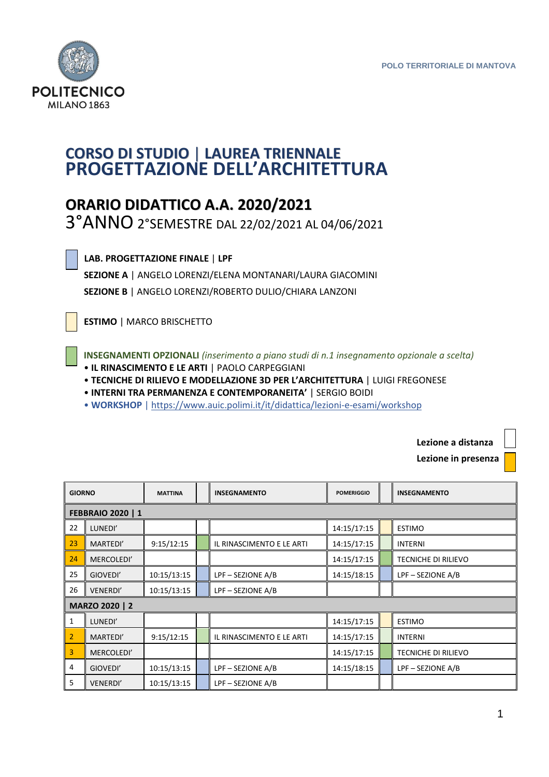

## **CORSO DI STUDIO** | **LAUREA TRIENNALE PROGETTAZIONE DELL'ARCHITETTURA**

## **ORARIO DIDATTICO A.A. 2020/2021**

3°ANNO 2°SEMESTRE DAL 22/02/2021 AL 04/06/2021

| $\overline{\phantom{a}}$ |  |  |  |
|--------------------------|--|--|--|
|                          |  |  |  |

 **LAB. PROGETTAZIONE FINALE** | **LPF** 

 **SEZIONE A** | ANGELO LORENZI/ELENA MONTANARI/LAURA GIACOMINI **SEZIONE B** | ANGELO LORENZI/ROBERTO DULIO/CHIARA LANZONI

 **ESTIMO** | MARCO BRISCHETTO

 **INSEGNAMENTI OPZIONALI** *(inserimento a piano studi di n.1 insegnamento opzionale a scelta)*  • **IL RINASCIMENTO E LE ARTI** | PAOLO CARPEGGIANI

• **TECNICHE DI RILIEVO E MODELLAZIONE 3D PER L'ARCHITETTURA** | LUIGI FREGONESE

• **INTERNI TRA PERMANENZA E CONTEMPORANEITA'** | SERGIO BOIDI

• **WORKSHOP** | https://www.auic.polimi.it/it/didattica/lezioni-e-esami/workshop

 **Lezione a distanza**

 **Lezione in presenza** 

| <b>GIORNO</b>            |                 | <b>MATTINA</b> |  | <b>INSEGNAMENTO</b>       | <b>POMERIGGIO</b> |  | <b>INSEGNAMENTO</b>        |  |
|--------------------------|-----------------|----------------|--|---------------------------|-------------------|--|----------------------------|--|
| <b>FEBBRAIO 2020   1</b> |                 |                |  |                           |                   |  |                            |  |
| 22                       | LUNEDI'         |                |  |                           | 14:15/17:15       |  | <b>ESTIMO</b>              |  |
| 23                       | MARTEDI'        | 9:15/12:15     |  | IL RINASCIMENTO E LE ARTI | 14:15/17:15       |  | <b>INTERNI</b>             |  |
| 24                       | MERCOLEDI'      |                |  |                           | 14:15/17:15       |  | <b>TECNICHE DI RILIEVO</b> |  |
| 25                       | GIOVEDI'        | 10:15/13:15    |  | LPF-SEZIONE A/B           | 14:15/18:15       |  | LPF - SEZIONE A/B          |  |
| 26                       | <b>VENERDI'</b> | 10:15/13:15    |  | LPF-SEZIONE A/B           |                   |  |                            |  |
| MARZO 2020   2           |                 |                |  |                           |                   |  |                            |  |
| $\mathbf{1}$             | LUNEDI'         |                |  |                           | 14:15/17:15       |  | <b>ESTIMO</b>              |  |
| 2                        | MARTEDI'        | 9:15/12:15     |  | IL RINASCIMENTO E LE ARTI | 14:15/17:15       |  | <b>INTERNI</b>             |  |
| 3                        | MERCOLEDI'      |                |  |                           | 14:15/17:15       |  | <b>TECNICHE DI RILIEVO</b> |  |
| 4                        | GIOVEDI'        | 10:15/13:15    |  | LPF-SEZIONE A/B           | 14:15/18:15       |  | LPF - SEZIONE A/B          |  |
| 5                        | <b>VENERDI'</b> | 10:15/13:15    |  | LPF-SEZIONE A/B           |                   |  |                            |  |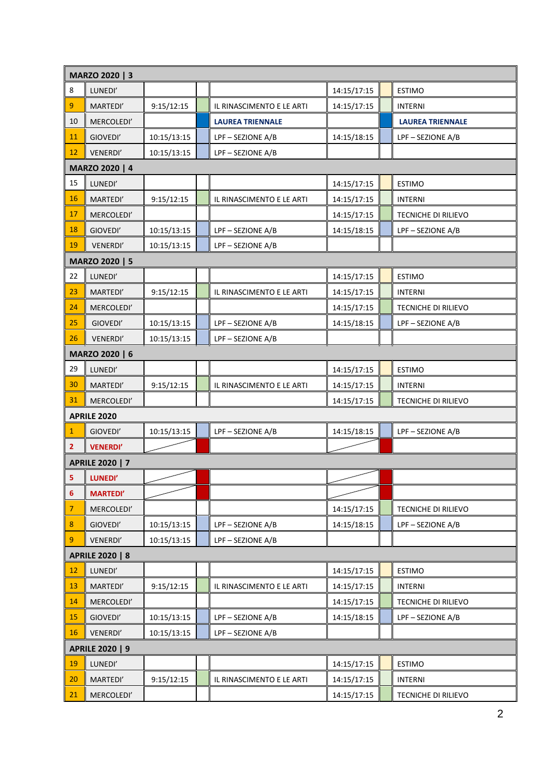|                        | MARZO 2020   3         |             |  |                           |             |  |                         |  |  |
|------------------------|------------------------|-------------|--|---------------------------|-------------|--|-------------------------|--|--|
| 8                      | LUNEDI'                |             |  |                           | 14:15/17:15 |  | <b>ESTIMO</b>           |  |  |
| 9                      | MARTEDI'               | 9:15/12:15  |  | IL RINASCIMENTO E LE ARTI | 14:15/17:15 |  | <b>INTERNI</b>          |  |  |
| 10                     | MERCOLEDI'             |             |  | <b>LAUREA TRIENNALE</b>   |             |  | <b>LAUREA TRIENNALE</b> |  |  |
| 11                     | GIOVEDI'               | 10:15/13:15 |  | LPF-SEZIONE A/B           | 14:15/18:15 |  | LPF-SEZIONE A/B         |  |  |
| 12                     | VENERDI'               | 10:15/13:15 |  | LPF-SEZIONE A/B           |             |  |                         |  |  |
|                        | MARZO 2020   4         |             |  |                           |             |  |                         |  |  |
| 15                     | LUNEDI'                |             |  |                           | 14:15/17:15 |  | <b>ESTIMO</b>           |  |  |
| 16                     | MARTEDI'               | 9:15/12:15  |  | IL RINASCIMENTO E LE ARTI | 14:15/17:15 |  | <b>INTERNI</b>          |  |  |
| 17                     | MERCOLEDI'             |             |  |                           | 14:15/17:15 |  | TECNICHE DI RILIEVO     |  |  |
| 18                     | GIOVEDI'               | 10:15/13:15 |  | LPF-SEZIONE A/B           | 14:15/18:15 |  | LPF - SEZIONE A/B       |  |  |
| 19                     | VENERDI'               | 10:15/13:15 |  | LPF-SEZIONE A/B           |             |  |                         |  |  |
|                        | MARZO 2020   5         |             |  |                           |             |  |                         |  |  |
| 22                     | LUNEDI'                |             |  |                           | 14:15/17:15 |  | <b>ESTIMO</b>           |  |  |
| 23                     | MARTEDI'               | 9:15/12:15  |  | IL RINASCIMENTO E LE ARTI | 14:15/17:15 |  | <b>INTERNI</b>          |  |  |
| 24                     | MERCOLEDI'             |             |  |                           | 14:15/17:15 |  | TECNICHE DI RILIEVO     |  |  |
| 25                     | GIOVEDI'               | 10:15/13:15 |  | LPF-SEZIONE A/B           | 14:15/18:15 |  | LPF-SEZIONE A/B         |  |  |
| 26                     | VENERDI'               | 10:15/13:15 |  | LPF-SEZIONE A/B           |             |  |                         |  |  |
|                        | MARZO 2020   6         |             |  |                           |             |  |                         |  |  |
| 29                     | LUNEDI'                |             |  |                           | 14:15/17:15 |  | <b>ESTIMO</b>           |  |  |
| 30                     | MARTEDI'               | 9:15/12:15  |  | IL RINASCIMENTO E LE ARTI | 14:15/17:15 |  | <b>INTERNI</b>          |  |  |
| 31                     | MERCOLEDI'             |             |  |                           | 14:15/17:15 |  | TECNICHE DI RILIEVO     |  |  |
|                        | <b>APRILE 2020</b>     |             |  |                           |             |  |                         |  |  |
| $\mathbf{1}$           | GIOVEDI'               | 10:15/13:15 |  | LPF-SEZIONE A/B           | 14:15/18:15 |  | LPF-SEZIONE A/B         |  |  |
| $\mathbf{2}$           | <b>VENERDI'</b>        |             |  |                           |             |  |                         |  |  |
|                        | <b>APRILE 2020   7</b> |             |  |                           |             |  |                         |  |  |
| 5 <sub>1</sub>         | LUNEDI'                |             |  |                           |             |  |                         |  |  |
| 6                      | <b>MARTEDI'</b>        |             |  |                           |             |  |                         |  |  |
| $\overline{7}$         | MERCOLEDI'             |             |  |                           | 14:15/17:15 |  | TECNICHE DI RILIEVO     |  |  |
| 8                      | GIOVEDI'               | 10:15/13:15 |  | LPF-SEZIONE A/B           | 14:15/18:15 |  | LPF-SEZIONE A/B         |  |  |
| 9                      | VENERDI'               | 10:15/13:15 |  | LPF-SEZIONE A/B           |             |  |                         |  |  |
|                        | <b>APRILE 2020   8</b> |             |  |                           |             |  |                         |  |  |
| 12                     | LUNEDI'                |             |  |                           | 14:15/17:15 |  | <b>ESTIMO</b>           |  |  |
| 13                     | MARTEDI'               | 9:15/12:15  |  | IL RINASCIMENTO E LE ARTI | 14:15/17:15 |  | <b>INTERNI</b>          |  |  |
| 14                     | MERCOLEDI'             |             |  |                           | 14:15/17:15 |  | TECNICHE DI RILIEVO     |  |  |
| 15                     | GIOVEDI'               | 10:15/13:15 |  | LPF-SEZIONE A/B           | 14:15/18:15 |  | LPF-SEZIONE A/B         |  |  |
| 16                     | VENERDI'               | 10:15/13:15 |  | LPF-SEZIONE A/B           |             |  |                         |  |  |
| <b>APRILE 2020   9</b> |                        |             |  |                           |             |  |                         |  |  |
| 19                     | LUNEDI'                |             |  |                           | 14:15/17:15 |  | <b>ESTIMO</b>           |  |  |
| $20\,$                 | MARTEDI'               | 9:15/12:15  |  | IL RINASCIMENTO E LE ARTI | 14:15/17:15 |  | <b>INTERNI</b>          |  |  |
| 21                     | MERCOLEDI'             |             |  |                           | 14:15/17:15 |  | TECNICHE DI RILIEVO     |  |  |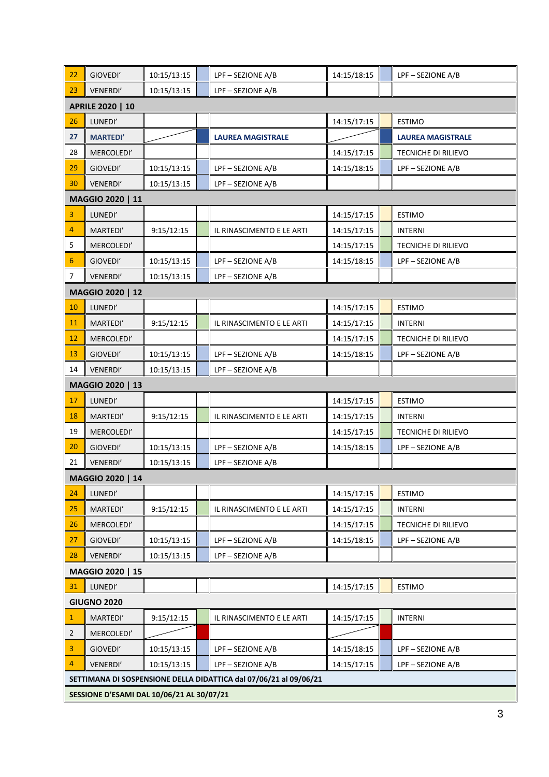| 22                                                                | GIOVEDI'           | 10:15/13:15 |  | LPF-SEZIONE A/B           | 14:15/18:15 |  | LPF - SEZIONE A/B          |  |  |  |
|-------------------------------------------------------------------|--------------------|-------------|--|---------------------------|-------------|--|----------------------------|--|--|--|
| 23                                                                | VENERDI'           | 10:15/13:15 |  | LPF-SEZIONE A/B           |             |  |                            |  |  |  |
|                                                                   | APRILE 2020   10   |             |  |                           |             |  |                            |  |  |  |
| 26                                                                | LUNEDI'            |             |  |                           | 14:15/17:15 |  | <b>ESTIMO</b>              |  |  |  |
| 27                                                                | <b>MARTEDI'</b>    |             |  | <b>LAUREA MAGISTRALE</b>  |             |  | <b>LAUREA MAGISTRALE</b>   |  |  |  |
| 28                                                                | MERCOLEDI'         |             |  |                           | 14:15/17:15 |  | TECNICHE DI RILIEVO        |  |  |  |
| 29                                                                | GIOVEDI'           | 10:15/13:15 |  | LPF-SEZIONE A/B           | 14:15/18:15 |  | LPF-SEZIONE A/B            |  |  |  |
| 30                                                                | VENERDI'           | 10:15/13:15 |  | LPF-SEZIONE A/B           |             |  |                            |  |  |  |
|                                                                   | MAGGIO 2020   11   |             |  |                           |             |  |                            |  |  |  |
| 3                                                                 | LUNEDI'            |             |  |                           | 14:15/17:15 |  | <b>ESTIMO</b>              |  |  |  |
| 4                                                                 | MARTEDI'           | 9:15/12:15  |  | IL RINASCIMENTO E LE ARTI | 14:15/17:15 |  | <b>INTERNI</b>             |  |  |  |
| 5                                                                 | MERCOLEDI'         |             |  |                           | 14:15/17:15 |  | <b>TECNICHE DI RILIEVO</b> |  |  |  |
| 6                                                                 | GIOVEDI'           | 10:15/13:15 |  | LPF-SEZIONE A/B           | 14:15/18:15 |  | LPF-SEZIONE A/B            |  |  |  |
| 7                                                                 | VENERDI'           | 10:15/13:15 |  | LPF-SEZIONE A/B           |             |  |                            |  |  |  |
| MAGGIO 2020   12                                                  |                    |             |  |                           |             |  |                            |  |  |  |
| 10                                                                | LUNEDI'            |             |  |                           | 14:15/17:15 |  | <b>ESTIMO</b>              |  |  |  |
| 11                                                                | MARTEDI'           | 9:15/12:15  |  | IL RINASCIMENTO E LE ARTI | 14:15/17:15 |  | <b>INTERNI</b>             |  |  |  |
| 12                                                                | MERCOLEDI'         |             |  |                           | 14:15/17:15 |  | TECNICHE DI RILIEVO        |  |  |  |
| 13                                                                | GIOVEDI'           | 10:15/13:15 |  | LPF-SEZIONE A/B           | 14:15/18:15 |  | LPF - SEZIONE A/B          |  |  |  |
| 14                                                                | VENERDI'           | 10:15/13:15 |  | LPF-SEZIONE A/B           |             |  |                            |  |  |  |
|                                                                   | MAGGIO 2020   13   |             |  |                           |             |  |                            |  |  |  |
| 17                                                                | LUNEDI'            |             |  |                           | 14:15/17:15 |  | <b>ESTIMO</b>              |  |  |  |
| 18                                                                | MARTEDI'           | 9:15/12:15  |  | IL RINASCIMENTO E LE ARTI | 14:15/17:15 |  | <b>INTERNI</b>             |  |  |  |
| 19                                                                | MERCOLEDI'         |             |  |                           | 14:15/17:15 |  | <b>TECNICHE DI RILIEVO</b> |  |  |  |
| 20                                                                | GIOVEDI'           | 10:15/13:15 |  | LPF-SEZIONE A/B           | 14:15/18:15 |  | LPF - SEZIONE A/B          |  |  |  |
| 21                                                                | VENERDI'           | 10:15/13:15 |  | LPF-SEZIONE A/B           |             |  |                            |  |  |  |
|                                                                   | MAGGIO 2020   14   |             |  |                           |             |  |                            |  |  |  |
| 24                                                                | LUNEDI'            |             |  |                           | 14:15/17:15 |  | <b>ESTIMO</b>              |  |  |  |
| 25                                                                | MARTEDI'           | 9:15/12:15  |  | IL RINASCIMENTO E LE ARTI | 14:15/17:15 |  | <b>INTERNI</b>             |  |  |  |
| 26                                                                | MERCOLEDI'         |             |  |                           | 14:15/17:15 |  | TECNICHE DI RILIEVO        |  |  |  |
| 27                                                                | GIOVEDI'           | 10:15/13:15 |  | LPF-SEZIONE A/B           | 14:15/18:15 |  | LPF-SEZIONE A/B            |  |  |  |
| 28                                                                | VENERDI'           | 10:15/13:15 |  | LPF-SEZIONE A/B           |             |  |                            |  |  |  |
| MAGGIO 2020   15                                                  |                    |             |  |                           |             |  |                            |  |  |  |
| 31                                                                | LUNEDI'            |             |  |                           | 14:15/17:15 |  | <b>ESTIMO</b>              |  |  |  |
|                                                                   | <b>GIUGNO 2020</b> |             |  |                           |             |  |                            |  |  |  |
| $\mathbf{1}$                                                      | MARTEDI'           | 9:15/12:15  |  | IL RINASCIMENTO E LE ARTI | 14:15/17:15 |  | <b>INTERNI</b>             |  |  |  |
| 2                                                                 | MERCOLEDI'         |             |  |                           |             |  |                            |  |  |  |
| 3                                                                 | GIOVEDI'           | 10:15/13:15 |  | LPF-SEZIONE A/B           | 14:15/18:15 |  | LPF-SEZIONE A/B            |  |  |  |
| 4                                                                 | VENERDI'           | 10:15/13:15 |  | LPF-SEZIONE A/B           | 14:15/17:15 |  | LPF-SEZIONE A/B            |  |  |  |
| SETTIMANA DI SOSPENSIONE DELLA DIDATTICA dal 07/06/21 al 09/06/21 |                    |             |  |                           |             |  |                            |  |  |  |
| SESSIONE D'ESAMI DAL 10/06/21 AL 30/07/21                         |                    |             |  |                           |             |  |                            |  |  |  |